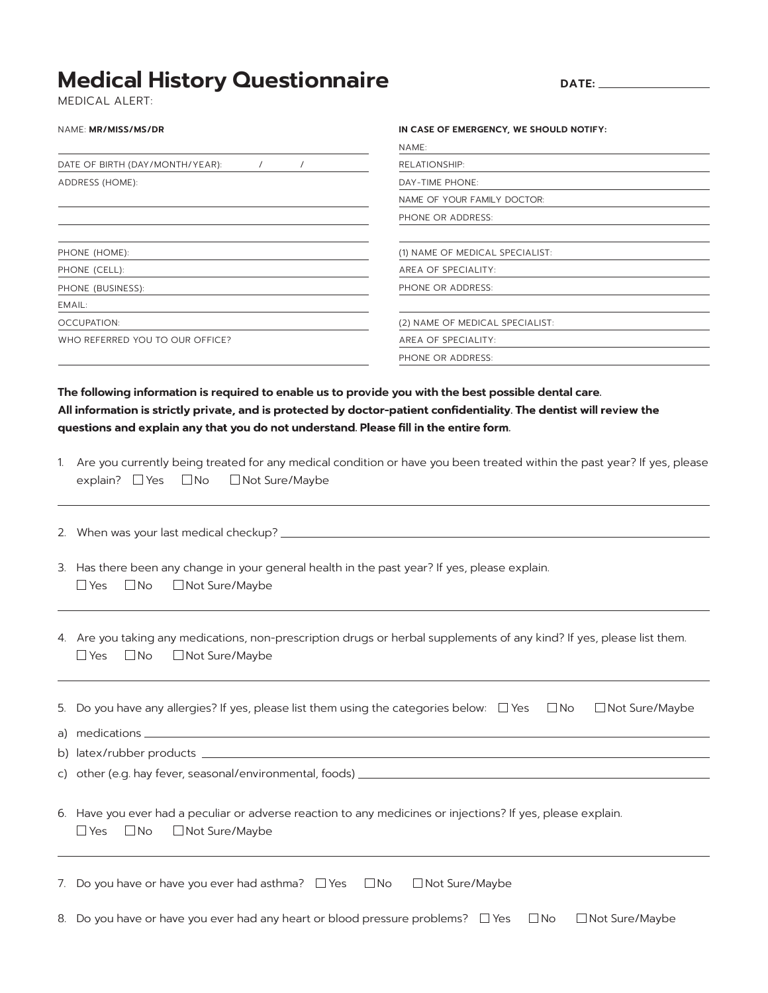## **Medical History Questionnaire**

**DATE:**

MEDI CAL ALERT:

## NAME: **MR/MISS/MS/DR**

## **IN CASE OF EMERGENCY, WE SHOULD NOTIFY:**

|                                             | NAME:                           |  |  |
|---------------------------------------------|---------------------------------|--|--|
| DATE OF BIRTH (DAY/MONTH/YEAR):<br>$\prime$ | RELATIONSHIP:                   |  |  |
| ADDRESS (HOME):                             | DAY-TIME PHONE:                 |  |  |
|                                             | NAME OF YOUR FAMILY DOCTOR:     |  |  |
|                                             | PHONE OR ADDRESS:               |  |  |
|                                             |                                 |  |  |
| PHONE (HOME):                               | (1) NAME OF MEDICAL SPECIALIST: |  |  |
| PHONE (CELL):                               | AREA OF SPECIALITY:             |  |  |
| PHONE (BUSINESS):                           | PHONE OR ADDRESS:               |  |  |
| EMAIL:                                      |                                 |  |  |
| OCCUPATION:                                 | (2) NAME OF MEDICAL SPECIALIST: |  |  |
| WHO REFERRED YOU TO OUR OFFICE?             | AREA OF SPECIALITY:             |  |  |
|                                             | PHONE OR ADDRESS:               |  |  |
|                                             |                                 |  |  |

## **The following information is required to enable us to provide you with the best possible dental care.** All information is strictly private, and is protected by doctor-patient confidentiality. The dentist will review the questions and explain any that you do not understand. Please fill in the entire form.

|  | 1. Are you currently being treated for any medical condition or have you been treated within the past year? If yes, please |
|--|----------------------------------------------------------------------------------------------------------------------------|
|  | explain? □ Yes □ No □ Not Sure/Maybe                                                                                       |

2. When was your last medical checkup?

|  | 3. Has there been any change in your general health in the past year? If yes, please explain. |  |  |  |
|--|-----------------------------------------------------------------------------------------------|--|--|--|
|  | $\Box$ Yes $\Box$ No $\Box$ Not Sure/Maybe                                                    |  |  |  |

4. Are you taking any medications, non-prescription drugs or herbal supplements of any kind? If yes, please list them.  $\Box$  Yes  $\Box$  No  $\Box$  Not Sure/Maybe

| 5. Do you have any allergies? If yes, please list them using the categories below: $\Box$ Yes $\Box$ No $\Box$ Not Sure/Maybe                             |
|-----------------------------------------------------------------------------------------------------------------------------------------------------------|
|                                                                                                                                                           |
|                                                                                                                                                           |
| c) other (e.g. hay fever, seasonal/environmental, foods) _______________________                                                                          |
| 6. Have you ever had a peculiar or adverse reaction to any medicines or injections? If yes, please explain.<br>$\Box$ Yes $\Box$ No $\Box$ Not Sure/Maybe |
| 7. Do you have or have you ever had asthma? $\Box$ Yes $\Box$ No $\Box$ Not Sure/Maybe                                                                    |

8. Do you have or have you ever had any heart or blood pressure problems?  $\Box$  Yes  $\Box$  No  $\Box$  Not Sure/Maybe